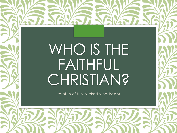# WHO IS THE FAITHFUL **CHRISTIAN?**

Parable of the Wicked Vinedresser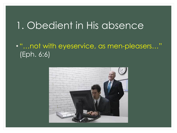#### 1. Obedient in His absence

#### • "…not with eyeservice, as men-pleasers…" (Eph. 6:6)

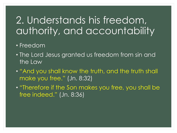## 2. Understands his freedom, authority, and accountability

#### • Freedom

- The Lord Jesus granted us freedom from sin and the Law
- "And you shall know the truth, and the truth shall make you free." (Jn. 8:32)
- "Therefore if the Son makes you free, you shall be free indeed." (Jn. 8:36)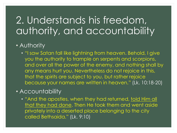## 2. Understands his freedom, authority, and accountability

#### • Authority

• "I saw Satan fall like lightning from heaven. Behold, I give you the authority to trample on serpents and scorpions, and over all the power of the enemy, and nothing shall by any means hurt you. Nevertheless do not rejoice in this, that the spirits are subject to you, but rather rejoice because your names are written in heaven." (Lk. 10:18-20)

#### • Accountability

• "And the apostles, when they had returned, told Him all that they had done. Then He took them and went aside privately into a deserted place belonging to the city called Bethsaida." (Lk. 9:10)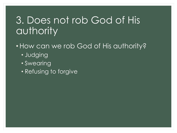## 3. Does not rob God of His authority

- •How can we rob God of His authority?
	- Judging
	- Swearing
	- Refusing to forgive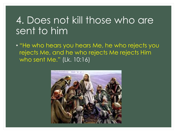#### 4. Does not kill those who are sent to him

• "He who hears you hears Me, he who rejects you rejects Me, and he who rejects Me rejects Him who sent Me." (Lk. 10:16)

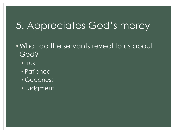# 5. Appreciates God's mercy

- What do the servants reveal to us about God?
	- Trust
	- Patience
	- Goodness
	- Judgment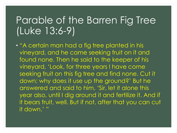## Parable of the Barren Fig Tree (Luke 13:6-9)

• "A certain man had a fig tree planted in his vineyard, and he came seeking fruit on it and found none. Then he said to the keeper of his vineyard, 'Look, for three years I have come seeking fruit on this fig tree and find none. Cut it down; why does it use up the ground?' But he answered and said to him, 'Sir, let it alone this year also, until I dig around it and fertilize it. And if it bears fruit, well. But if not, after that you can cut it down." "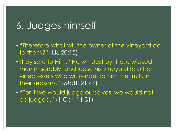#### 6. Judges himself

- "Therefore what will the owner of the vineyard do to them?" (Lk. 20:15)
- They said to Him, "He will destroy those wicked men miserably, and lease his vineyard to other vinedressers who will render to him the fruits in their seasons." (Matt. 21:41)
- "For if we would judge ourselves, we would not be judged." (1 Cor. 11:31)